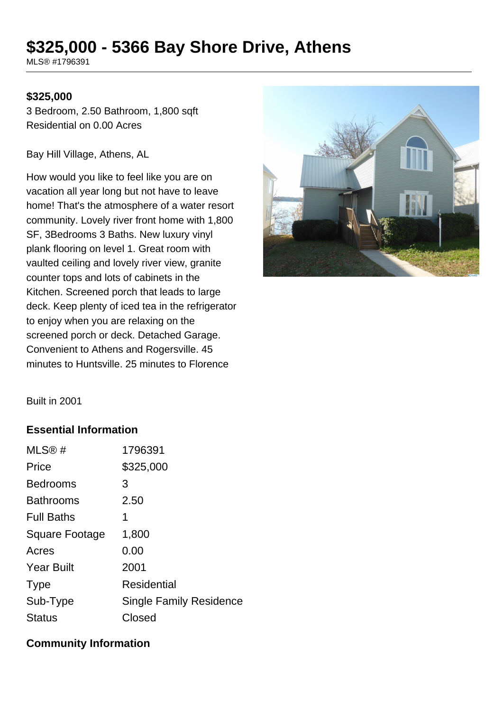# **\$325,000 - 5366 Bay Shore Drive, Athens**

MLS® #1796391

#### **\$325,000**

3 Bedroom, 2.50 Bathroom, 1,800 sqft Residential on 0.00 Acres

Bay Hill Village, Athens, AL

How would you like to feel like you are on vacation all year long but not have to leave home! That's the atmosphere of a water resort community. Lovely river front home with 1,800 SF, 3Bedrooms 3 Baths. New luxury vinyl plank flooring on level 1. Great room with vaulted ceiling and lovely river view, granite counter tops and lots of cabinets in the Kitchen. Screened porch that leads to large deck. Keep plenty of iced tea in the refrigerator to enjoy when you are relaxing on the screened porch or deck. Detached Garage. Convenient to Athens and Rogersville. 45 minutes to Huntsville. 25 minutes to Florence



Built in 2001

### **Essential Information**

| MLS@#                 | 1796391                        |
|-----------------------|--------------------------------|
| Price                 | \$325,000                      |
| <b>Bedrooms</b>       | 3                              |
| <b>Bathrooms</b>      | 2.50                           |
| <b>Full Baths</b>     | 1                              |
| <b>Square Footage</b> | 1,800                          |
| Acres                 | 0.00                           |
| <b>Year Built</b>     | 2001                           |
| <b>Type</b>           | Residential                    |
| Sub-Type              | <b>Single Family Residence</b> |
| <b>Status</b>         | Closed                         |

### **Community Information**